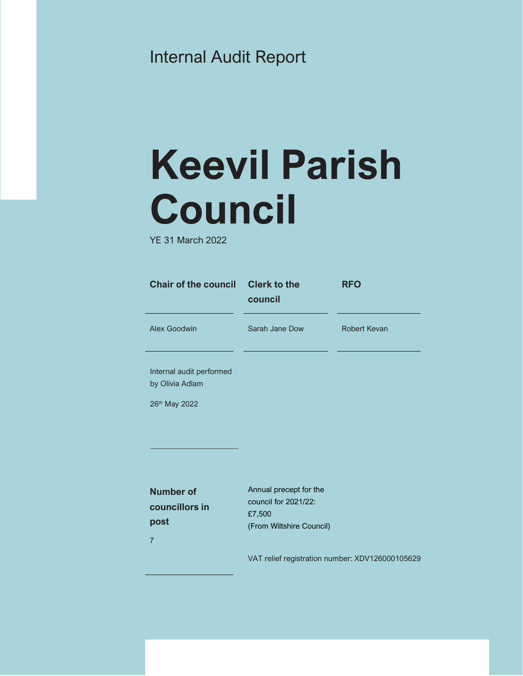# Internal Audit Report

# **Keevil Parish Council**

YE 31 March 2022

| <b>Chair of the council</b>                 | <b>Clerk to the</b><br>council | <b>RFO</b>          |
|---------------------------------------------|--------------------------------|---------------------|
| Alex Goodwin                                | Sarah Jane Dow                 | <b>Robert Kevan</b> |
| Internal audit performed<br>by Olivia Adlam |                                |                     |
| 26 <sup>th</sup> May 2022                   |                                |                     |

Annual precept for the council for 2021/22:

(From Wiltshire Council)

£7,500

**Number of councillors in post**  7

\_\_\_\_\_\_\_\_\_\_\_\_\_\_\_\_\_\_\_\_\_\_\_

VAT relief registration number: XDV126000105629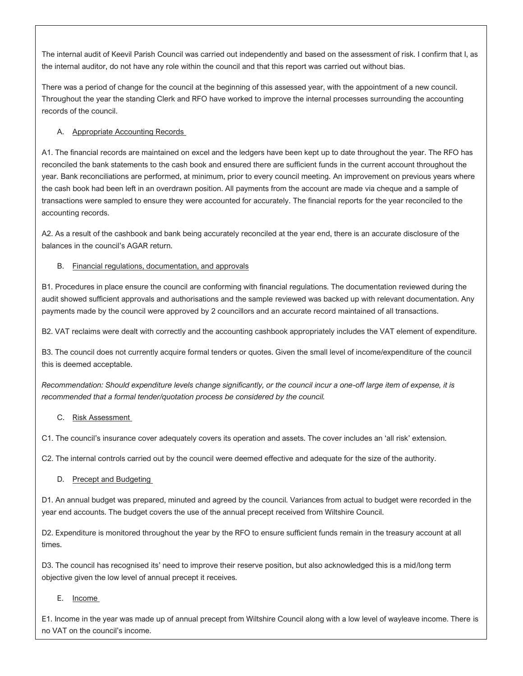The internal audit of Keevil Parish Council was carried out independently and based on the assessment of risk. I confirm that I, as the internal auditor, do not have any role within the council and that this report was carried out without bias.

There was a period of change for the council at the beginning of this assessed year, with the appointment of a new council. Throughout the year the standing Clerk and RFO have worked to improve the internal processes surrounding the accounting records of the council.

# A. Appropriate Accounting Records

A1. The financial records are maintained on excel and the ledgers have been kept up to date throughout the year. The RFO has reconciled the bank statements to the cash book and ensured there are sufficient funds in the current account throughout the year. Bank reconciliations are performed, at minimum, prior to every council meeting. An improvement on previous years where the cash book had been left in an overdrawn position. All payments from the account are made via cheque and a sample of transactions were sampled to ensure they were accounted for accurately. The financial reports for the year reconciled to the accounting records.

A2. As a result of the cashbook and bank being accurately reconciled at the year end, there is an accurate disclosure of the balances in the council's AGAR return.

### B. Financial regulations, documentation, and approvals

B1. Procedures in place ensure the council are conforming with financial regulations. The documentation reviewed during the audit showed sufficient approvals and authorisations and the sample reviewed was backed up with relevant documentation. Any payments made by the council were approved by 2 councillors and an accurate record maintained of all transactions.

B2. VAT reclaims were dealt with correctly and the accounting cashbook appropriately includes the VAT element of expenditure.

B3. The council does not currently acquire formal tenders or quotes. Given the small level of income/expenditure of the council this is deemed acceptable.

*Recommendation: Should expenditure levels change significantly, or the council incur a one-off large item of expense, it is recommended that a formal tender/quotation process be considered by the council.* 

# C. Risk Assessment

C1. The council's insurance cover adequately covers its operation and assets. The cover includes an 'all risk' extension.

C2. The internal controls carried out by the council were deemed effective and adequate for the size of the authority.

# D. Precept and Budgeting

D1. An annual budget was prepared, minuted and agreed by the council. Variances from actual to budget were recorded in the year end accounts. The budget covers the use of the annual precept received from Wiltshire Council.

D2. Expenditure is monitored throughout the year by the RFO to ensure sufficient funds remain in the treasury account at all times.

D3. The council has recognised its' need to improve their reserve position, but also acknowledged this is a mid/long term objective given the low level of annual precept it receives.

E. Income

E1. Income in the year was made up of annual precept from Wiltshire Council along with a low level of wayleave income. There is no VAT on the council's income.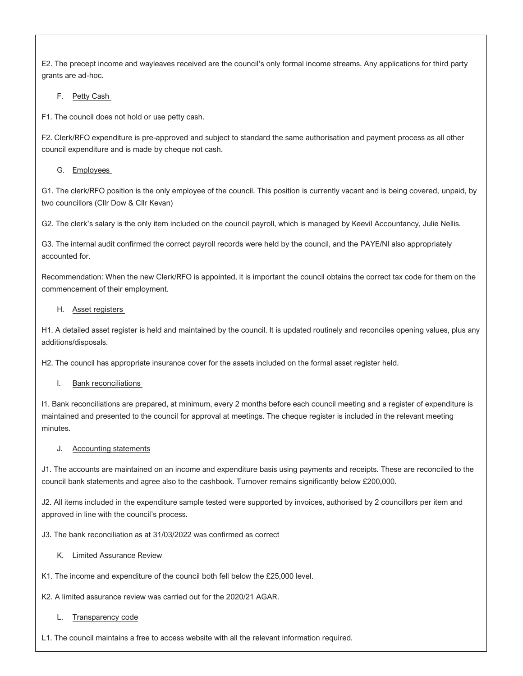E2. The precept income and wayleaves received are the council's only formal income streams. Any applications for third party grants are ad-hoc.

F. Petty Cash

F1. The council does not hold or use petty cash.

F2. Clerk/RFO expenditure is pre-approved and subject to standard the same authorisation and payment process as all other council expenditure and is made by cheque not cash.

G. Employees

G1. The clerk/RFO position is the only employee of the council. This position is currently vacant and is being covered, unpaid, by two councillors (Cllr Dow & Cllr Kevan)

G2. The clerk's salary is the only item included on the council payroll, which is managed by Keevil Accountancy, Julie Nellis.

G3. The internal audit confirmed the correct payroll records were held by the council, and the PAYE/NI also appropriately accounted for.

Recommendation: When the new Clerk/RFO is appointed, it is important the council obtains the correct tax code for them on the commencement of their employment.

#### H. Asset registers

H1. A detailed asset register is held and maintained by the council. It is updated routinely and reconciles opening values, plus any additions/disposals.

H2. The council has appropriate insurance cover for the assets included on the formal asset register held.

I. Bank reconciliations

I1. Bank reconciliations are prepared, at minimum, every 2 months before each council meeting and a register of expenditure is maintained and presented to the council for approval at meetings. The cheque register is included in the relevant meeting minutes.

#### J. Accounting statements

J1. The accounts are maintained on an income and expenditure basis using payments and receipts. These are reconciled to the council bank statements and agree also to the cashbook. Turnover remains significantly below £200,000.

J2. All items included in the expenditure sample tested were supported by invoices, authorised by 2 councillors per item and approved in line with the council's process.

J3. The bank reconciliation as at 31/03/2022 was confirmed as correct

K. Limited Assurance Review

K1. The income and expenditure of the council both fell below the £25,000 level.

K2. A limited assurance review was carried out for the 2020/21 AGAR.

# L. Transparency code

L1. The council maintains a free to access website with all the relevant information required.